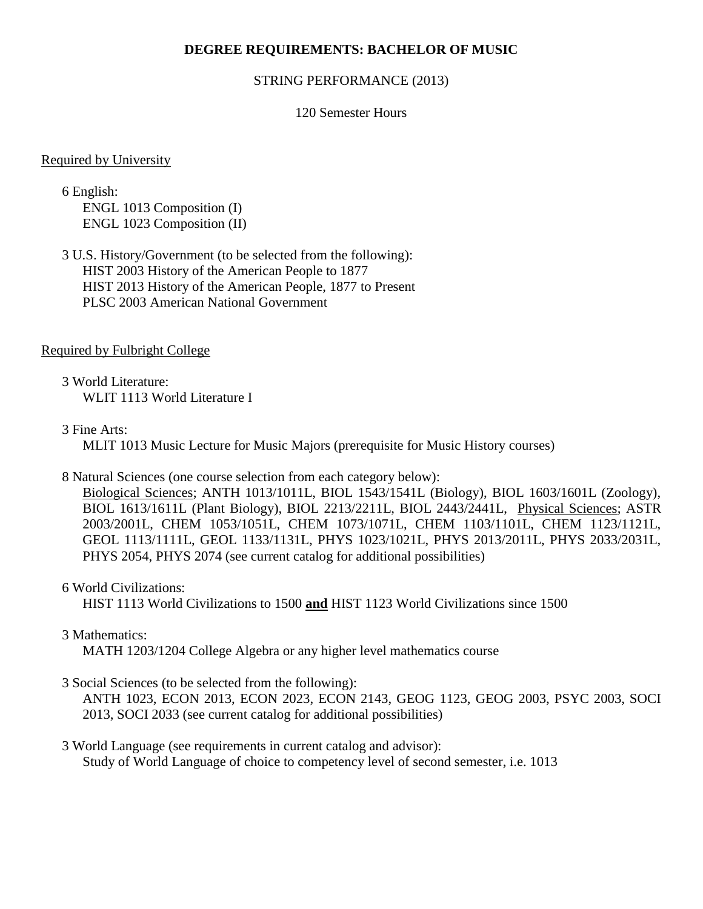# **DEGREE REQUIREMENTS: BACHELOR OF MUSIC**

#### STRING PERFORMANCE (2013)

## 120 Semester Hours

#### Required by University

6 English: ENGL 1013 Composition (I) ENGL 1023 Composition (II)

3 U.S. History/Government (to be selected from the following): HIST 2003 History of the American People to 1877 HIST 2013 History of the American People, 1877 to Present PLSC 2003 American National Government

#### Required by Fulbright College

3 World Literature: WLIT 1113 World Literature I

## 3 Fine Arts:

MLIT 1013 Music Lecture for Music Majors (prerequisite for Music History courses)

#### 8 Natural Sciences (one course selection from each category below):

Biological Sciences; ANTH 1013/1011L, BIOL 1543/1541L (Biology), BIOL 1603/1601L (Zoology), BIOL 1613/1611L (Plant Biology), BIOL 2213/2211L, BIOL 2443/2441L, Physical Sciences; ASTR 2003/2001L, CHEM 1053/1051L, CHEM 1073/1071L, CHEM 1103/1101L, CHEM 1123/1121L, GEOL 1113/1111L, GEOL 1133/1131L, PHYS 1023/1021L, PHYS 2013/2011L, PHYS 2033/2031L, PHYS 2054, PHYS 2074 (see current catalog for additional possibilities)

#### 6 World Civilizations:

HIST 1113 World Civilizations to 1500 **and** HIST 1123 World Civilizations since 1500

# 3 Mathematics:

MATH 1203/1204 College Algebra or any higher level mathematics course

# 3 Social Sciences (to be selected from the following):

ANTH 1023, ECON 2013, ECON 2023, ECON 2143, GEOG 1123, GEOG 2003, PSYC 2003, SOCI 2013, SOCI 2033 (see current catalog for additional possibilities)

## 3 World Language (see requirements in current catalog and advisor): Study of World Language of choice to competency level of second semester, i.e. 1013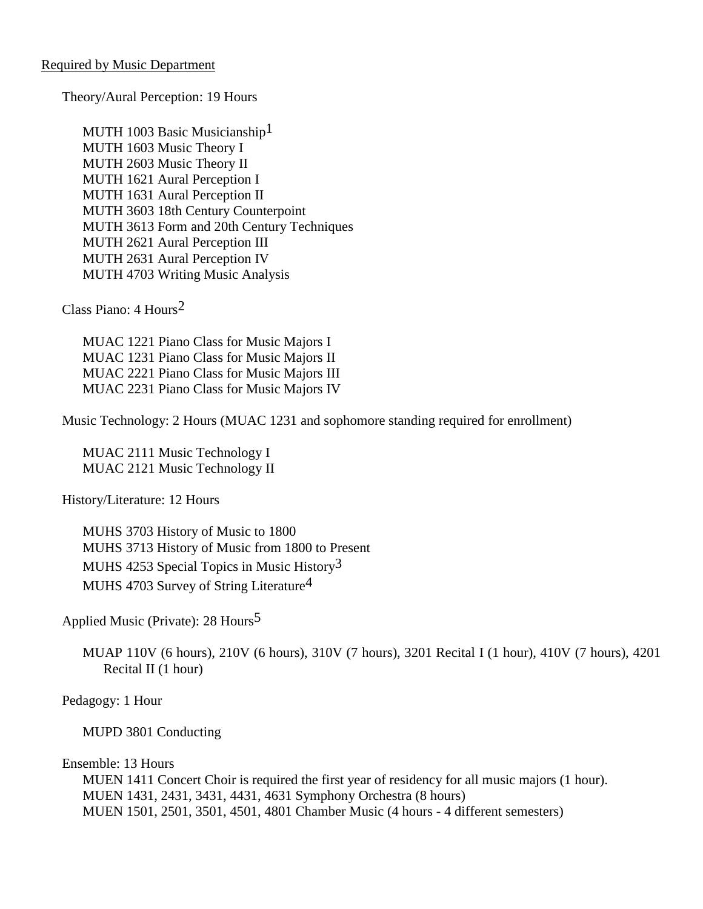Theory/Aural Perception: 19 Hours

MUTH 1003 Basic Musicianship<sup>1</sup> MUTH 1603 Music Theory I MUTH 2603 Music Theory II MUTH 1621 Aural Perception I MUTH 1631 Aural Perception II MUTH 3603 18th Century Counterpoint MUTH 3613 Form and 20th Century Techniques MUTH 2621 Aural Perception III MUTH 2631 Aural Perception IV MUTH 4703 Writing Music Analysis

Class Piano: 4 Hours2

MUAC 1221 Piano Class for Music Majors I MUAC 1231 Piano Class for Music Majors II MUAC 2221 Piano Class for Music Majors III MUAC 2231 Piano Class for Music Majors IV

Music Technology: 2 Hours (MUAC 1231 and sophomore standing required for enrollment)

MUAC 2111 Music Technology I MUAC 2121 Music Technology II

History/Literature: 12 Hours

MUHS 3703 History of Music to 1800 MUHS 3713 History of Music from 1800 to Present MUHS 4253 Special Topics in Music History3 MUHS 4703 Survey of String Literature4

Applied Music (Private): 28 Hours5

MUAP 110V (6 hours), 210V (6 hours), 310V (7 hours), 3201 Recital I (1 hour), 410V (7 hours), 4201 Recital II (1 hour)

Pedagogy: 1 Hour

MUPD 3801 Conducting

Ensemble: 13 Hours

MUEN 1411 Concert Choir is required the first year of residency for all music majors (1 hour). MUEN 1431, 2431, 3431, 4431, 4631 Symphony Orchestra (8 hours) MUEN 1501, 2501, 3501, 4501, 4801 Chamber Music (4 hours - 4 different semesters)